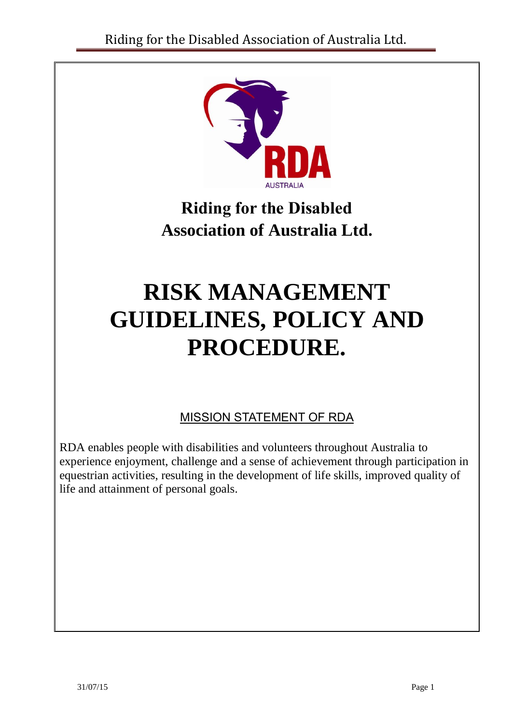

**Riding for the Disabled Association of Australia Ltd.**

# **RISK MANAGEMENT GUIDELINES, POLICY AND PROCEDURE.**

MISSION STATEMENT OF RDA

RDA enables people with disabilities and volunteers throughout Australia to experience enjoyment, challenge and a sense of achievement through participation in equestrian activities, resulting in the development of life skills, improved quality of life and attainment of personal goals.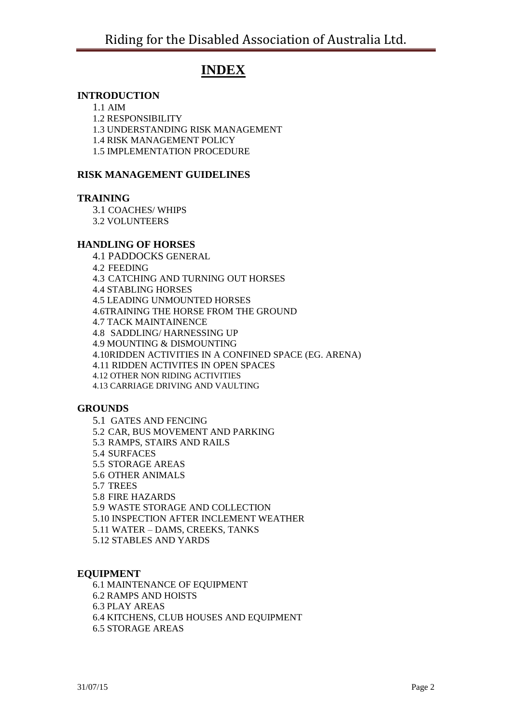## **INDEX**

#### **INTRODUCTION**

1.1 AIM

1.2 RESPONSIBILITY

1.3 UNDERSTANDING RISK MANAGEMENT

1.4 RISK MANAGEMENT POLICY

1.5 IMPLEMENTATION PROCEDURE

#### **RISK MANAGEMENT GUIDELINES**

#### **TRAINING**

3.1 COACHES/ WHIPS

3.2 VOLUNTEERS

#### **HANDLING OF HORSES**

4.1 PADDOCKS GENERAL 4.2 FEEDING 4.3 CATCHING AND TURNING OUT HORSES 4.4 STABLING HORSES

4.5 LEADING UNMOUNTED HORSES

4.6TRAINING THE HORSE FROM THE GROUND

4.7 TACK MAINTAINENCE

4.8 SADDLING/ HARNESSING UP

4.9 MOUNTING & DISMOUNTING

4.10RIDDEN ACTIVITIES IN A CONFINED SPACE (EG. ARENA)

4.11 RIDDEN ACTIVITES IN OPEN SPACES

4.12 OTHER NON RIDING ACTIVITIES

4.13 CARRIAGE DRIVING AND VAULTING

#### **GROUNDS**

5.1 GATES AND FENCING 5.2 CAR, BUS MOVEMENT AND PARKING 5.3 RAMPS, STAIRS AND RAILS 5.4 SURFACES 5.5 STORAGE AREAS 5.6 OTHER ANIMALS 5.7 TREES 5.8 FIRE HAZARDS 5.9 WASTE STORAGE AND COLLECTION 5.10 INSPECTION AFTER INCLEMENT WEATHER 5.11 WATER – DAMS, CREEKS, TANKS 5.12 STABLES AND YARDS

#### **EQUIPMENT**

6.1 MAINTENANCE OF EQUIPMENT 6.2 RAMPS AND HOISTS 6.3 PLAY AREAS 6.4 KITCHENS, CLUB HOUSES AND EQUIPMENT 6.5 STORAGE AREAS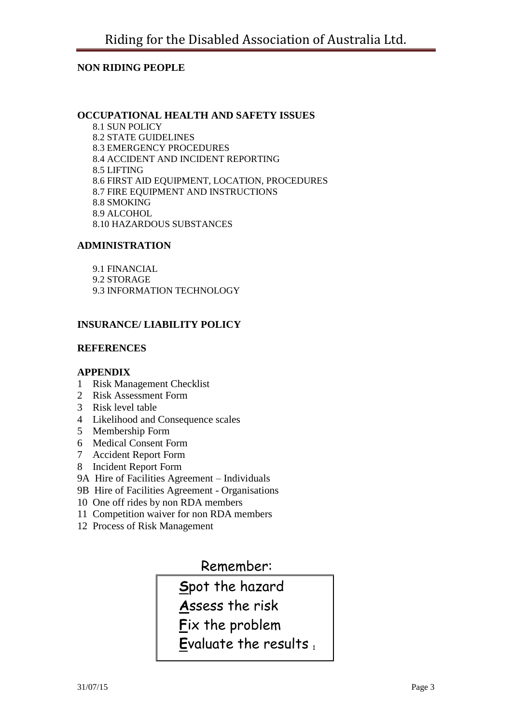#### **NON RIDING PEOPLE**

#### **OCCUPATIONAL HEALTH AND SAFETY ISSUES**

8.1 SUN POLICY 8.2 STATE GUIDELINES 8.3 EMERGENCY PROCEDURES 8.4 ACCIDENT AND INCIDENT REPORTING 8.5 LIFTING 8.6 FIRST AID EQUIPMENT, LOCATION, PROCEDURES 8.7 FIRE EQUIPMENT AND INSTRUCTIONS 8.8 SMOKING 8.9 ALCOHOL 8.10 HAZARDOUS SUBSTANCES

#### **ADMINISTRATION**

9.1 FINANCIAL 9.2 STORAGE 9.3 INFORMATION TECHNOLOGY

#### **INSURANCE/ LIABILITY POLICY**

#### **REFERENCES**

#### **APPENDIX**

- 1 Risk Management Checklist
- 2 Risk Assessment Form
- 3 Risk level table
- 4 Likelihood and Consequence scales
- 5 Membership Form
- 6 Medical Consent Form
- 7 Accident Report Form
- 8 Incident Report Form
- 9A Hire of Facilities Agreement Individuals
- 9B Hire of Facilities Agreement Organisations
- 10 One off rides by non RDA members
- 11 Competition waiver for non RDA members
- 12 Process of Risk Management

## Remember:

 **S**pot the hazard

 **A**ssess the risk

 **F**ix the problem

**E**valuate the results,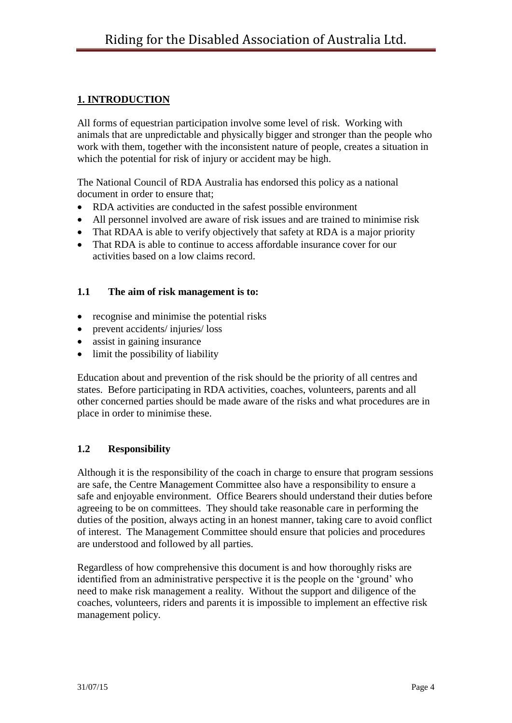## **1. INTRODUCTION**

All forms of equestrian participation involve some level of risk. Working with animals that are unpredictable and physically bigger and stronger than the people who work with them, together with the inconsistent nature of people, creates a situation in which the potential for risk of injury or accident may be high.

The National Council of RDA Australia has endorsed this policy as a national document in order to ensure that;

- RDA activities are conducted in the safest possible environment
- All personnel involved are aware of risk issues and are trained to minimise risk
- That RDAA is able to verify objectively that safety at RDA is a major priority
- That RDA is able to continue to access affordable insurance cover for our activities based on a low claims record.

#### **1.1 The aim of risk management is to:**

- recognise and minimise the potential risks
- prevent accidents/ injuries/ loss
- assist in gaining insurance
- limit the possibility of liability

Education about and prevention of the risk should be the priority of all centres and states. Before participating in RDA activities, coaches, volunteers, parents and all other concerned parties should be made aware of the risks and what procedures are in place in order to minimise these.

#### **1.2 Responsibility**

Although it is the responsibility of the coach in charge to ensure that program sessions are safe, the Centre Management Committee also have a responsibility to ensure a safe and enjoyable environment. Office Bearers should understand their duties before agreeing to be on committees. They should take reasonable care in performing the duties of the position, always acting in an honest manner, taking care to avoid conflict of interest. The Management Committee should ensure that policies and procedures are understood and followed by all parties.

Regardless of how comprehensive this document is and how thoroughly risks are identified from an administrative perspective it is the people on the 'ground' who need to make risk management a reality. Without the support and diligence of the coaches, volunteers, riders and parents it is impossible to implement an effective risk management policy.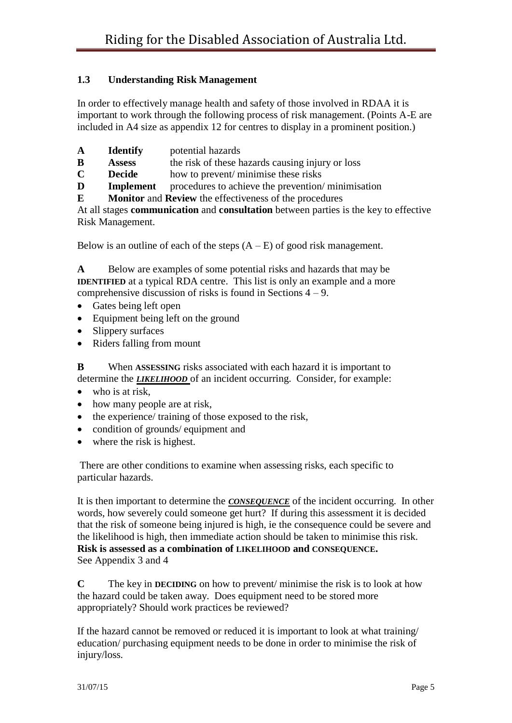## **1.3 Understanding Risk Management**

In order to effectively manage health and safety of those involved in RDAA it is important to work through the following process of risk management. (Points A-E are included in A4 size as appendix 12 for centres to display in a prominent position.)

- **A Identify** potential hazards
- **B Assess** the risk of these hazards causing injury or loss
- **C Decide** how to prevent/ minimise these risks
- **D Implement** procedures to achieve the prevention/ minimisation
- **E Monitor** and **Review** the effectiveness of the procedures

At all stages **communication** and **consultation** between parties is the key to effective Risk Management.

Below is an outline of each of the steps  $(A - E)$  of good risk management.

**A** Below are examples of some potential risks and hazards that may be **IDENTIFIED** at a typical RDA centre. This list is only an example and a more comprehensive discussion of risks is found in Sections 4 – 9.

- Gates being left open
- Equipment being left on the ground
- Slippery surfaces
- Riders falling from mount

**B** When **ASSESSING** risks associated with each hazard it is important to determine the *LIKELIHOOD* of an incident occurring. Consider, for example:

- $\bullet$  who is at risk.
- how many people are at risk,
- the experience/ training of those exposed to the risk,
- condition of grounds/ equipment and
- where the risk is highest.

There are other conditions to examine when assessing risks, each specific to particular hazards.

It is then important to determine the *CONSEQUENCE* of the incident occurring. In other words, how severely could someone get hurt? If during this assessment it is decided that the risk of someone being injured is high, ie the consequence could be severe and the likelihood is high, then immediate action should be taken to minimise this risk. **Risk is assessed as a combination of LIKELIHOOD and CONSEQUENCE.** See Appendix 3 and 4

**C** The key in **DECIDING** on how to prevent/ minimise the risk is to look at how the hazard could be taken away. Does equipment need to be stored more appropriately? Should work practices be reviewed?

If the hazard cannot be removed or reduced it is important to look at what training/ education/ purchasing equipment needs to be done in order to minimise the risk of injury/loss.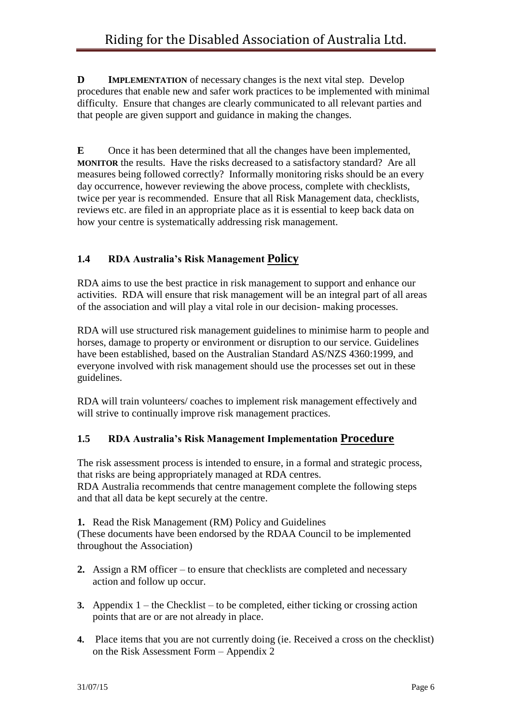**D IMPLEMENTATION** of necessary changes is the next vital step. Develop procedures that enable new and safer work practices to be implemented with minimal difficulty. Ensure that changes are clearly communicated to all relevant parties and that people are given support and guidance in making the changes.

**E** Once it has been determined that all the changes have been implemented, **MONITOR** the results. Have the risks decreased to a satisfactory standard? Are all measures being followed correctly? Informally monitoring risks should be an every day occurrence, however reviewing the above process, complete with checklists, twice per year is recommended. Ensure that all Risk Management data, checklists, reviews etc. are filed in an appropriate place as it is essential to keep back data on how your centre is systematically addressing risk management.

## **1.4 RDA Australia's Risk Management Policy**

RDA aims to use the best practice in risk management to support and enhance our activities. RDA will ensure that risk management will be an integral part of all areas of the association and will play a vital role in our decision- making processes.

RDA will use structured risk management guidelines to minimise harm to people and horses, damage to property or environment or disruption to our service. Guidelines have been established, based on the Australian Standard AS/NZS 4360:1999, and everyone involved with risk management should use the processes set out in these guidelines.

RDA will train volunteers/ coaches to implement risk management effectively and will strive to continually improve risk management practices.

## **1.5 RDA Australia's Risk Management Implementation Procedure**

The risk assessment process is intended to ensure, in a formal and strategic process, that risks are being appropriately managed at RDA centres.

RDA Australia recommends that centre management complete the following steps and that all data be kept securely at the centre.

**1.** Read the Risk Management (RM) Policy and Guidelines

(These documents have been endorsed by the RDAA Council to be implemented throughout the Association)

- **2.** Assign a RM officer to ensure that checklists are completed and necessary action and follow up occur.
- **3.** Appendix 1 the Checklist to be completed, either ticking or crossing action points that are or are not already in place.
- **4.** Place items that you are not currently doing (ie. Received a cross on the checklist) on the Risk Assessment Form – Appendix 2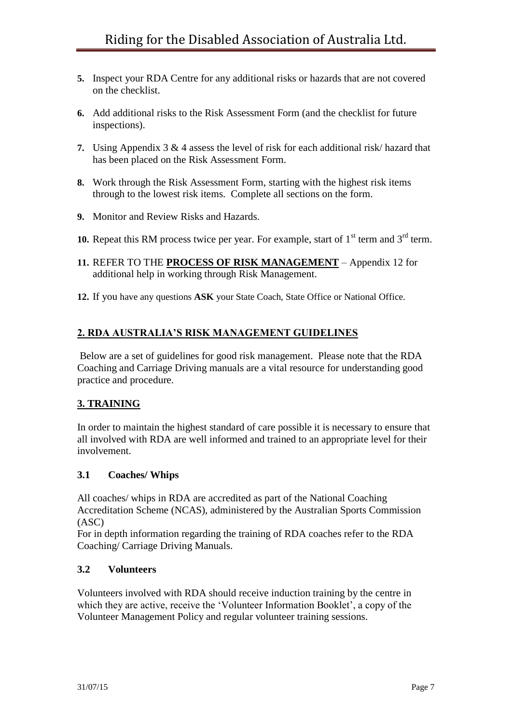- **5.** Inspect your RDA Centre for any additional risks or hazards that are not covered on the checklist.
- **6.** Add additional risks to the Risk Assessment Form (and the checklist for future inspections).
- **7.** Using Appendix 3 & 4 assess the level of risk for each additional risk/ hazard that has been placed on the Risk Assessment Form.
- **8.** Work through the Risk Assessment Form, starting with the highest risk items through to the lowest risk items. Complete all sections on the form.
- **9.** Monitor and Review Risks and Hazards.
- **10.** Repeat this RM process twice per year. For example, start of  $1<sup>st</sup>$  term and  $3<sup>rd</sup>$  term.
- **11.** REFER TO THE **PROCESS OF RISK MANAGEMENT** Appendix 12 for additional help in working through Risk Management.
- **12.** If you have any questions **ASK** your State Coach, State Office or National Office.

## **2. RDA AUSTRALIA'S RISK MANAGEMENT GUIDELINES**

Below are a set of guidelines for good risk management. Please note that the RDA Coaching and Carriage Driving manuals are a vital resource for understanding good practice and procedure.

## **3. TRAINING**

In order to maintain the highest standard of care possible it is necessary to ensure that all involved with RDA are well informed and trained to an appropriate level for their involvement.

#### **3.1 Coaches/ Whips**

All coaches/ whips in RDA are accredited as part of the National Coaching Accreditation Scheme (NCAS), administered by the Australian Sports Commission (ASC)

For in depth information regarding the training of RDA coaches refer to the RDA Coaching/ Carriage Driving Manuals.

## **3.2 Volunteers**

Volunteers involved with RDA should receive induction training by the centre in which they are active, receive the 'Volunteer Information Booklet', a copy of the Volunteer Management Policy and regular volunteer training sessions.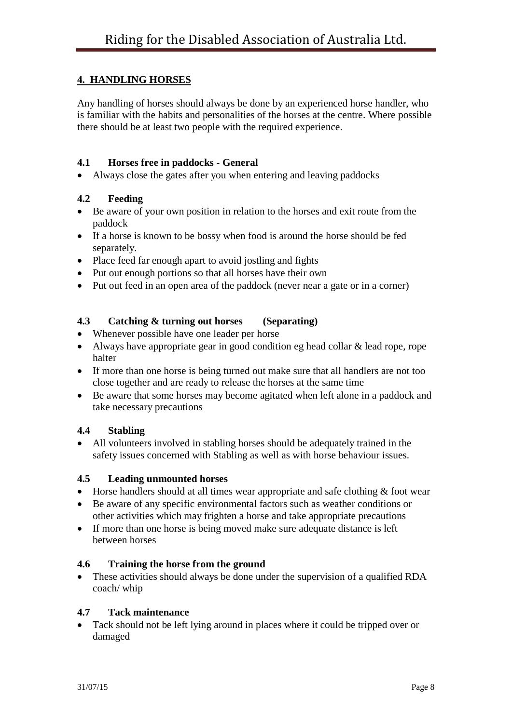## **4. HANDLING HORSES**

Any handling of horses should always be done by an experienced horse handler, who is familiar with the habits and personalities of the horses at the centre. Where possible there should be at least two people with the required experience.

#### **4.1 Horses free in paddocks - General**

Always close the gates after you when entering and leaving paddocks

## **4.2 Feeding**

- Be aware of your own position in relation to the horses and exit route from the paddock
- If a horse is known to be bossy when food is around the horse should be fed separately.
- Place feed far enough apart to avoid jostling and fights
- Put out enough portions so that all horses have their own
- Put out feed in an open area of the paddock (never near a gate or in a corner)

## **4.3 Catching & turning out horses (Separating)**

- Whenever possible have one leader per horse
- Always have appropriate gear in good condition eg head collar & lead rope, rope halter
- If more than one horse is being turned out make sure that all handlers are not too close together and are ready to release the horses at the same time
- Be aware that some horses may become agitated when left alone in a paddock and take necessary precautions

## **4.4 Stabling**

 All volunteers involved in stabling horses should be adequately trained in the safety issues concerned with Stabling as well as with horse behaviour issues.

#### **4.5 Leading unmounted horses**

- Horse handlers should at all times wear appropriate and safe clothing & foot wear
- Be aware of any specific environmental factors such as weather conditions or other activities which may frighten a horse and take appropriate precautions
- If more than one horse is being moved make sure adequate distance is left between horses

## **4.6 Training the horse from the ground**

 These activities should always be done under the supervision of a qualified RDA coach/ whip

## **4.7 Tack maintenance**

 Tack should not be left lying around in places where it could be tripped over or damaged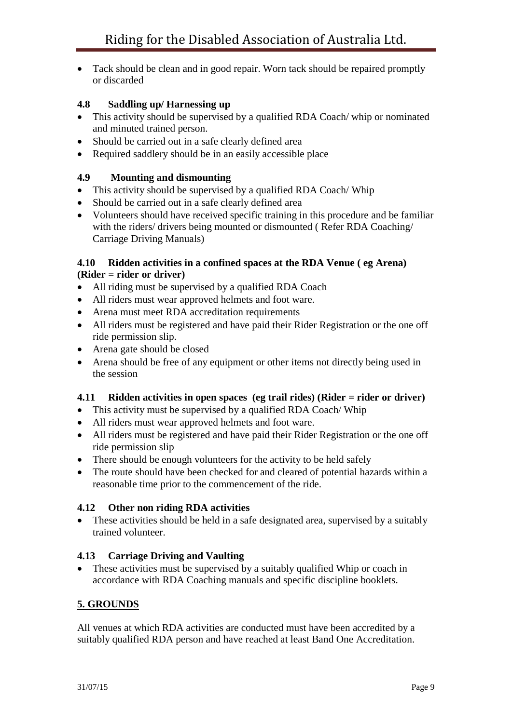• Tack should be clean and in good repair. Worn tack should be repaired promptly or discarded

## **4.8 Saddling up/ Harnessing up**

- This activity should be supervised by a qualified RDA Coach/ whip or nominated and minuted trained person.
- Should be carried out in a safe clearly defined area
- Required saddlery should be in an easily accessible place

## **4.9 Mounting and dismounting**

- This activity should be supervised by a qualified RDA Coach/ Whip
- Should be carried out in a safe clearly defined area
- Volunteers should have received specific training in this procedure and be familiar with the riders/ drivers being mounted or dismounted (Refer RDA Coaching/ Carriage Driving Manuals)

### **4.10 Ridden activities in a confined spaces at the RDA Venue ( eg Arena) (Rider = rider or driver)**

- All riding must be supervised by a qualified RDA Coach
- All riders must wear approved helmets and foot ware.
- Arena must meet RDA accreditation requirements
- All riders must be registered and have paid their Rider Registration or the one off ride permission slip.
- Arena gate should be closed
- Arena should be free of any equipment or other items not directly being used in the session

## **4.11 Ridden activities in open spaces (eg trail rides) (Rider = rider or driver)**

- This activity must be supervised by a qualified RDA Coach/ Whip
- All riders must wear approved helmets and foot ware.
- All riders must be registered and have paid their Rider Registration or the one off ride permission slip
- There should be enough volunteers for the activity to be held safely
- The route should have been checked for and cleared of potential hazards within a reasonable time prior to the commencement of the ride.

## **4.12 Other non riding RDA activities**

• These activities should be held in a safe designated area, supervised by a suitably trained volunteer.

## **4.13 Carriage Driving and Vaulting**

• These activities must be supervised by a suitably qualified Whip or coach in accordance with RDA Coaching manuals and specific discipline booklets.

## **5. GROUNDS**

All venues at which RDA activities are conducted must have been accredited by a suitably qualified RDA person and have reached at least Band One Accreditation.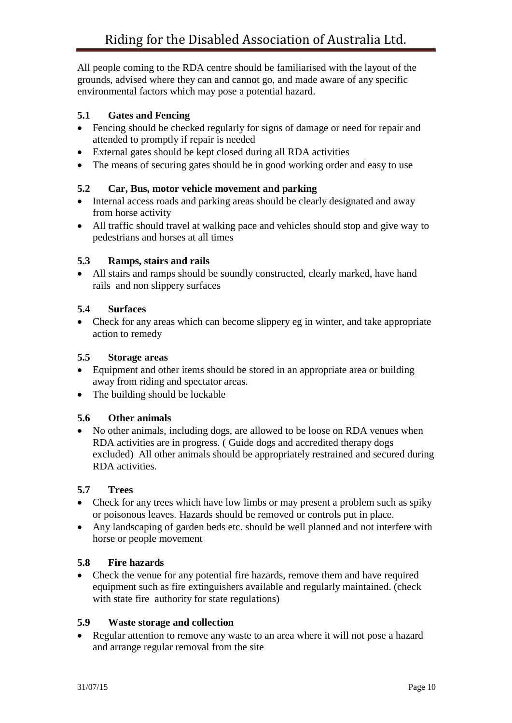All people coming to the RDA centre should be familiarised with the layout of the grounds, advised where they can and cannot go, and made aware of any specific environmental factors which may pose a potential hazard.

## **5.1 Gates and Fencing**

- Fencing should be checked regularly for signs of damage or need for repair and attended to promptly if repair is needed
- External gates should be kept closed during all RDA activities
- The means of securing gates should be in good working order and easy to use

## **5.2 Car, Bus, motor vehicle movement and parking**

- Internal access roads and parking areas should be clearly designated and away from horse activity
- All traffic should travel at walking pace and vehicles should stop and give way to pedestrians and horses at all times

## **5.3 Ramps, stairs and rails**

 All stairs and ramps should be soundly constructed, clearly marked, have hand rails and non slippery surfaces

## **5.4 Surfaces**

 Check for any areas which can become slippery eg in winter, and take appropriate action to remedy

## **5.5 Storage areas**

- Equipment and other items should be stored in an appropriate area or building away from riding and spectator areas.
- The building should be lockable

## **5.6 Other animals**

 No other animals, including dogs, are allowed to be loose on RDA venues when RDA activities are in progress. ( Guide dogs and accredited therapy dogs excluded) All other animals should be appropriately restrained and secured during RDA activities.

## **5.7 Trees**

- Check for any trees which have low limbs or may present a problem such as spiky or poisonous leaves. Hazards should be removed or controls put in place.
- Any landscaping of garden beds etc. should be well planned and not interfere with horse or people movement

## **5.8 Fire hazards**

• Check the venue for any potential fire hazards, remove them and have required equipment such as fire extinguishers available and regularly maintained. (check with state fire authority for state regulations)

## **5.9 Waste storage and collection**

• Regular attention to remove any waste to an area where it will not pose a hazard and arrange regular removal from the site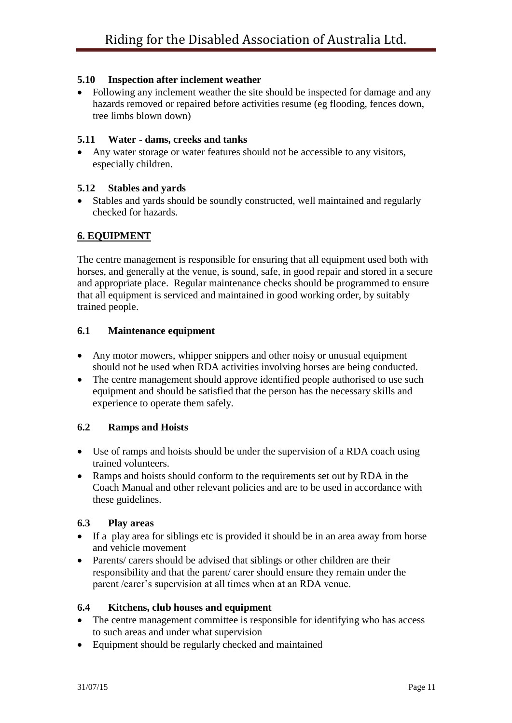#### **5.10 Inspection after inclement weather**

• Following any inclement weather the site should be inspected for damage and any hazards removed or repaired before activities resume (eg flooding, fences down, tree limbs blown down)

#### **5.11 Water - dams, creeks and tanks**

 Any water storage or water features should not be accessible to any visitors, especially children.

#### **5.12 Stables and yards**

 Stables and yards should be soundly constructed, well maintained and regularly checked for hazards.

#### **6. EQUIPMENT**

The centre management is responsible for ensuring that all equipment used both with horses, and generally at the venue, is sound, safe, in good repair and stored in a secure and appropriate place. Regular maintenance checks should be programmed to ensure that all equipment is serviced and maintained in good working order, by suitably trained people.

#### **6.1 Maintenance equipment**

- Any motor mowers, whipper snippers and other noisy or unusual equipment should not be used when RDA activities involving horses are being conducted.
- The centre management should approve identified people authorised to use such equipment and should be satisfied that the person has the necessary skills and experience to operate them safely.

#### **6.2 Ramps and Hoists**

- Use of ramps and hoists should be under the supervision of a RDA coach using trained volunteers.
- Ramps and hoists should conform to the requirements set out by RDA in the Coach Manual and other relevant policies and are to be used in accordance with these guidelines.

#### **6.3 Play areas**

- If a play area for siblings etc is provided it should be in an area away from horse and vehicle movement
- Parents/ carers should be advised that siblings or other children are their responsibility and that the parent/ carer should ensure they remain under the parent /carer's supervision at all times when at an RDA venue.

#### **6.4 Kitchens, club houses and equipment**

- The centre management committee is responsible for identifying who has access to such areas and under what supervision
- Equipment should be regularly checked and maintained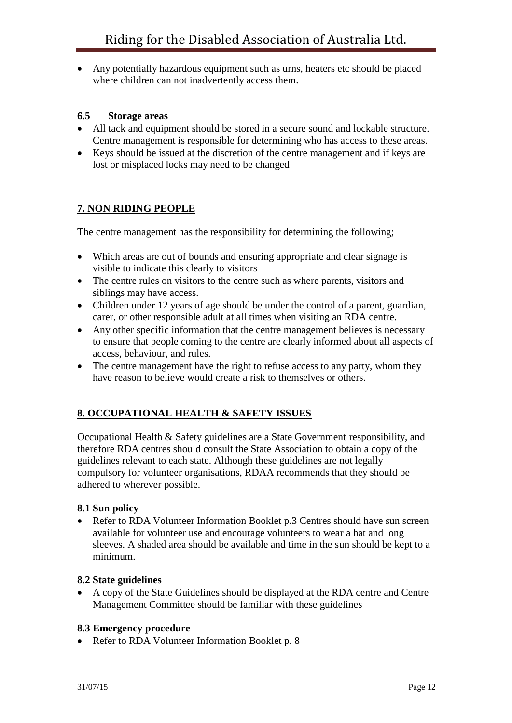Any potentially hazardous equipment such as urns, heaters etc should be placed where children can not inadvertently access them.

#### **6.5 Storage areas**

- All tack and equipment should be stored in a secure sound and lockable structure. Centre management is responsible for determining who has access to these areas.
- Keys should be issued at the discretion of the centre management and if keys are lost or misplaced locks may need to be changed

## **7. NON RIDING PEOPLE**

The centre management has the responsibility for determining the following;

- Which areas are out of bounds and ensuring appropriate and clear signage is visible to indicate this clearly to visitors
- The centre rules on visitors to the centre such as where parents, visitors and siblings may have access.
- Children under 12 years of age should be under the control of a parent, guardian, carer, or other responsible adult at all times when visiting an RDA centre.
- Any other specific information that the centre management believes is necessary to ensure that people coming to the centre are clearly informed about all aspects of access, behaviour, and rules.
- The centre management have the right to refuse access to any party, whom they have reason to believe would create a risk to themselves or others.

## **8. OCCUPATIONAL HEALTH & SAFETY ISSUES**

Occupational Health & Safety guidelines are a State Government responsibility, and therefore RDA centres should consult the State Association to obtain a copy of the guidelines relevant to each state. Although these guidelines are not legally compulsory for volunteer organisations, RDAA recommends that they should be adhered to wherever possible.

#### **8.1 Sun policy**

• Refer to RDA Volunteer Information Booklet p.3 Centres should have sun screen available for volunteer use and encourage volunteers to wear a hat and long sleeves. A shaded area should be available and time in the sun should be kept to a minimum.

#### **8.2 State guidelines**

 A copy of the State Guidelines should be displayed at the RDA centre and Centre Management Committee should be familiar with these guidelines

#### **8.3 Emergency procedure**

• Refer to RDA Volunteer Information Booklet p. 8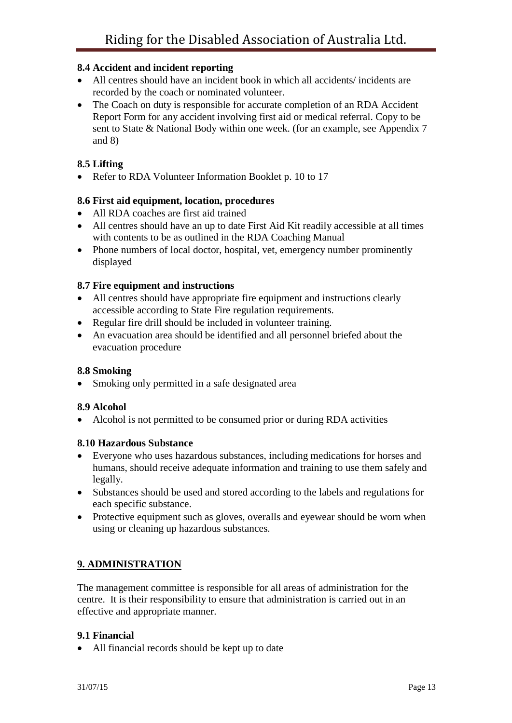#### **8.4 Accident and incident reporting**

- All centres should have an incident book in which all accidents/ incidents are recorded by the coach or nominated volunteer.
- The Coach on duty is responsible for accurate completion of an RDA Accident Report Form for any accident involving first aid or medical referral. Copy to be sent to State & National Body within one week. (for an example, see Appendix 7 and 8)

### **8.5 Lifting**

• Refer to RDA Volunteer Information Booklet p. 10 to 17

#### **8.6 First aid equipment, location, procedures**

- All RDA coaches are first aid trained
- All centres should have an up to date First Aid Kit readily accessible at all times with contents to be as outlined in the RDA Coaching Manual
- Phone numbers of local doctor, hospital, vet, emergency number prominently displayed

#### **8.7 Fire equipment and instructions**

- All centres should have appropriate fire equipment and instructions clearly accessible according to State Fire regulation requirements.
- Regular fire drill should be included in volunteer training.
- An evacuation area should be identified and all personnel briefed about the evacuation procedure

#### **8.8 Smoking**

• Smoking only permitted in a safe designated area

#### **8.9 Alcohol**

Alcohol is not permitted to be consumed prior or during RDA activities

#### **8.10 Hazardous Substance**

- Everyone who uses hazardous substances, including medications for horses and humans, should receive adequate information and training to use them safely and legally.
- Substances should be used and stored according to the labels and regulations for each specific substance.
- Protective equipment such as gloves, overalls and eyewear should be worn when using or cleaning up hazardous substances.

## **9. ADMINISTRATION**

The management committee is responsible for all areas of administration for the centre. It is their responsibility to ensure that administration is carried out in an effective and appropriate manner.

#### **9.1 Financial**

All financial records should be kept up to date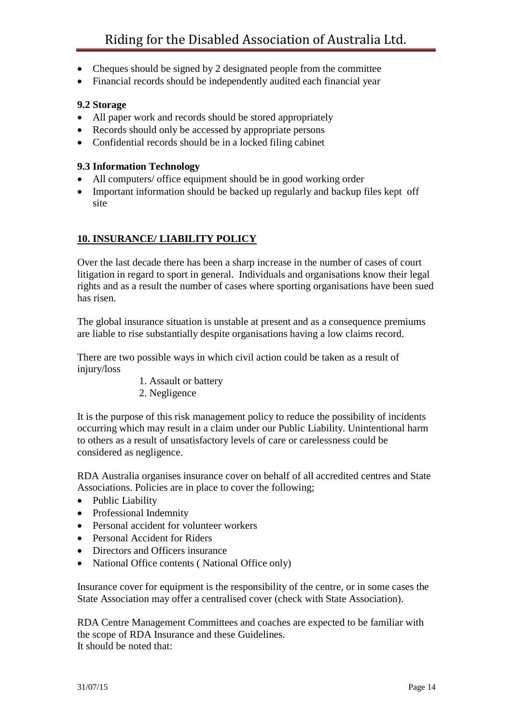- Cheques should be signed by 2 designated people from the committee
- Financial records should be independently audited each financial year

#### **9.2 Storage**

- All paper work and records should be stored appropriately
- Records should only be accessed by appropriate persons
- Confidential records should be in a locked filing cabinet

#### **9.3 Information Technology**

- All computers/ office equipment should be in good working order
- Important information should be backed up regularly and backup files kept off site

## **10. INSURANCE/ LIABILITY POLICY**

Over the last decade there has been a sharp increase in the number of cases of court litigation in regard to sport in general. Individuals and organisations know their legal rights and as a result the number of cases where sporting organisations have been sued has risen.

The global insurance situation is unstable at present and as a consequence premiums are liable to rise substantially despite organisations having a low claims record.

There are two possible ways in which civil action could be taken as a result of injury/loss

- 1. Assault or battery
- 2. Negligence

It is the purpose of this risk management policy to reduce the possibility of incidents occurring which may result in a claim under our Public Liability. Unintentional harm to others as a result of unsatisfactory levels of care or carelessness could be considered as negligence.

RDA Australia organises insurance cover on behalf of all accredited centres and State Associations. Policies are in place to cover the following;

- Public Liability
- Professional Indemnity
- Personal accident for volunteer workers
- Personal Accident for Riders
- Directors and Officers insurance
- National Office contents ( National Office only)

Insurance cover for equipment is the responsibility of the centre, or in some cases the State Association may offer a centralised cover (check with State Association).

RDA Centre Management Committees and coaches are expected to be familiar with the scope of RDA Insurance and these Guidelines. It should be noted that: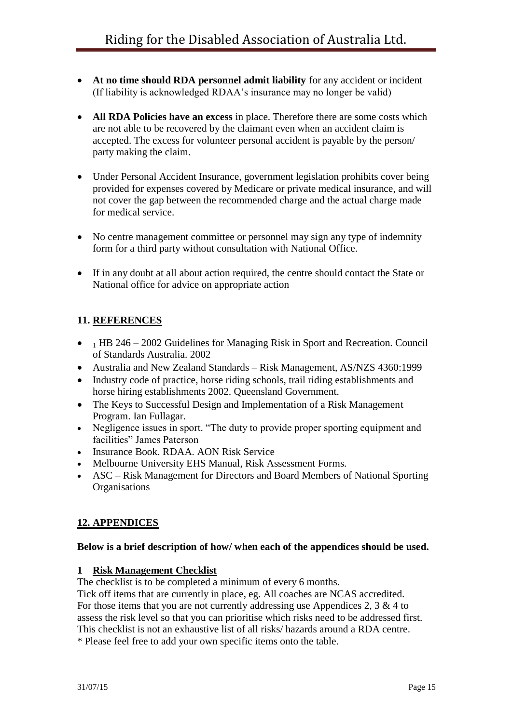- **At no time should RDA personnel admit liability** for any accident or incident (If liability is acknowledged RDAA's insurance may no longer be valid)
- **All RDA Policies have an excess** in place. Therefore there are some costs which are not able to be recovered by the claimant even when an accident claim is accepted. The excess for volunteer personal accident is payable by the person/ party making the claim.
- Under Personal Accident Insurance, government legislation prohibits cover being provided for expenses covered by Medicare or private medical insurance, and will not cover the gap between the recommended charge and the actual charge made for medical service.
- No centre management committee or personnel may sign any type of indemnity form for a third party without consultation with National Office.
- If in any doubt at all about action required, the centre should contact the State or National office for advice on appropriate action

## **11. REFERENCES**

- $\bullet$  1 HB 246 2002 Guidelines for Managing Risk in Sport and Recreation. Council of Standards Australia. 2002
- Australia and New Zealand Standards Risk Management, AS/NZS 4360:1999
- Industry code of practice, horse riding schools, trail riding establishments and horse hiring establishments 2002. Queensland Government.
- The Keys to Successful Design and Implementation of a Risk Management Program. Ian Fullagar.
- Negligence issues in sport. "The duty to provide proper sporting equipment and facilities" James Paterson
- Insurance Book. RDAA. AON Risk Service
- Melbourne University EHS Manual, Risk Assessment Forms.
- ASC Risk Management for Directors and Board Members of National Sporting **Organisations**

## **12. APPENDICES**

#### **Below is a brief description of how/ when each of the appendices should be used.**

#### **1 Risk Management Checklist**

The checklist is to be completed a minimum of every 6 months.

Tick off items that are currently in place, eg. All coaches are NCAS accredited. For those items that you are not currently addressing use Appendices 2,  $3 \& 4$  to assess the risk level so that you can prioritise which risks need to be addressed first. This checklist is not an exhaustive list of all risks/ hazards around a RDA centre.

\* Please feel free to add your own specific items onto the table.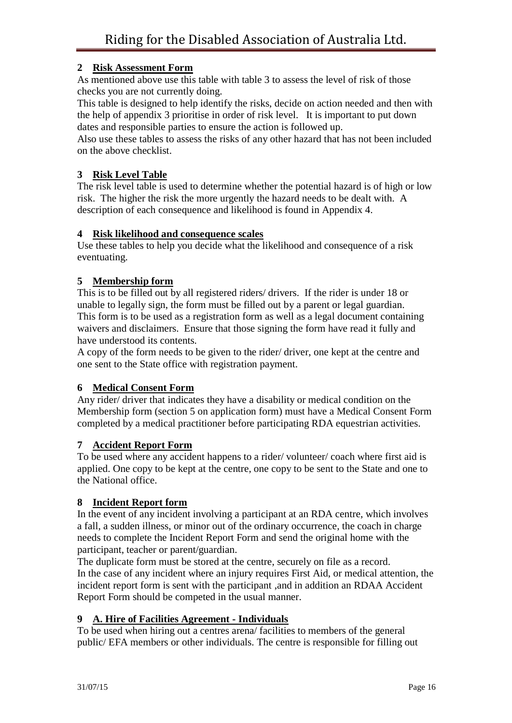## **2 Risk Assessment Form**

As mentioned above use this table with table 3 to assess the level of risk of those checks you are not currently doing.

This table is designed to help identify the risks, decide on action needed and then with the help of appendix 3 prioritise in order of risk level. It is important to put down dates and responsible parties to ensure the action is followed up.

Also use these tables to assess the risks of any other hazard that has not been included on the above checklist.

### **3 Risk Level Table**

The risk level table is used to determine whether the potential hazard is of high or low risk. The higher the risk the more urgently the hazard needs to be dealt with. A description of each consequence and likelihood is found in Appendix 4.

#### **4 Risk likelihood and consequence scales**

Use these tables to help you decide what the likelihood and consequence of a risk eventuating.

#### **5 Membership form**

This is to be filled out by all registered riders/ drivers. If the rider is under 18 or unable to legally sign, the form must be filled out by a parent or legal guardian. This form is to be used as a registration form as well as a legal document containing waivers and disclaimers. Ensure that those signing the form have read it fully and have understood its contents.

A copy of the form needs to be given to the rider/ driver, one kept at the centre and one sent to the State office with registration payment.

#### **6 Medical Consent Form**

Any rider/ driver that indicates they have a disability or medical condition on the Membership form (section 5 on application form) must have a Medical Consent Form completed by a medical practitioner before participating RDA equestrian activities.

#### **7 Accident Report Form**

To be used where any accident happens to a rider/ volunteer/ coach where first aid is applied. One copy to be kept at the centre, one copy to be sent to the State and one to the National office.

#### **8 Incident Report form**

In the event of any incident involving a participant at an RDA centre, which involves a fall, a sudden illness, or minor out of the ordinary occurrence, the coach in charge needs to complete the Incident Report Form and send the original home with the participant, teacher or parent/guardian.

The duplicate form must be stored at the centre, securely on file as a record. In the case of any incident where an injury requires First Aid, or medical attention, the incident report form is sent with the participant ,and in addition an RDAA Accident Report Form should be competed in the usual manner.

#### **9 A. Hire of Facilities Agreement - Individuals**

To be used when hiring out a centres arena/ facilities to members of the general public/ EFA members or other individuals. The centre is responsible for filling out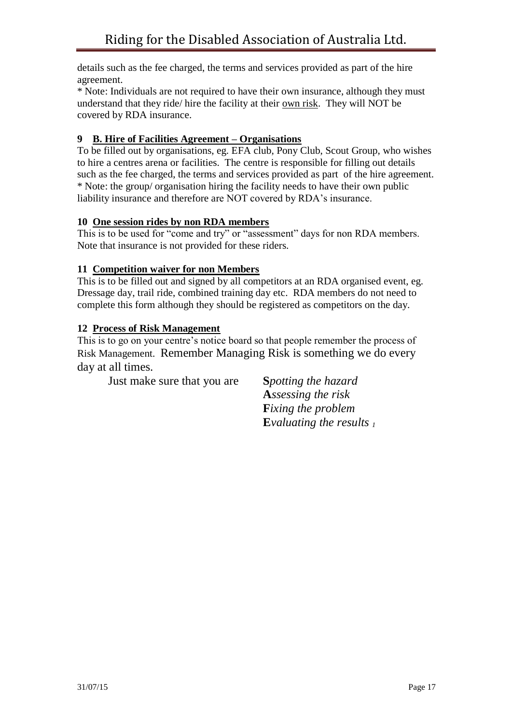details such as the fee charged, the terms and services provided as part of the hire agreement.

\* Note: Individuals are not required to have their own insurance, although they must understand that they ride/ hire the facility at their own risk. They will NOT be covered by RDA insurance.

## **9 B. Hire of Facilities Agreement – Organisations**

To be filled out by organisations, eg. EFA club, Pony Club, Scout Group, who wishes to hire a centres arena or facilities. The centre is responsible for filling out details such as the fee charged, the terms and services provided as part of the hire agreement. \* Note: the group/ organisation hiring the facility needs to have their own public liability insurance and therefore are NOT covered by RDA's insurance.

## **10 One session rides by non RDA members**

This is to be used for "come and try" or "assessment" days for non RDA members. Note that insurance is not provided for these riders.

## **11 Competition waiver for non Members**

This is to be filled out and signed by all competitors at an RDA organised event, eg. Dressage day, trail ride, combined training day etc. RDA members do not need to complete this form although they should be registered as competitors on the day.

## **12 Process of Risk Management**

This is to go on your centre's notice board so that people remember the process of Risk Management. Remember Managing Risk is something we do every day at all times.

Just make sure that you are **S***potting the hazard*

**A***ssessing the risk* **F***ixing the problem* **E***valuating the results 1*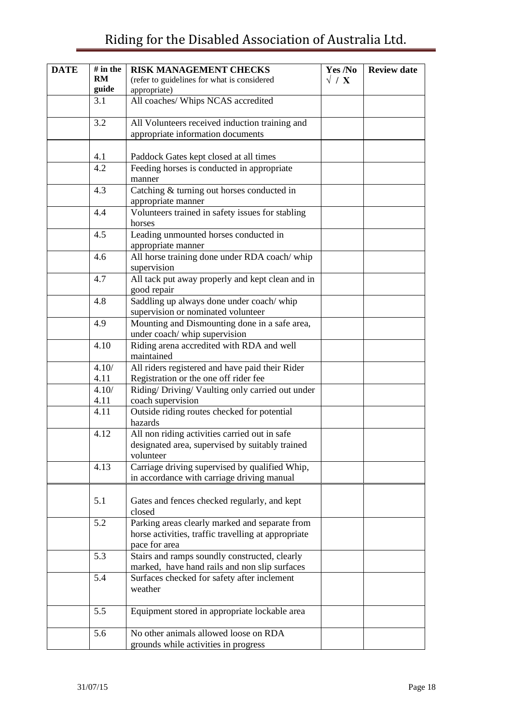## Riding for the Disabled Association of Australia Ltd.

| <b>DATE</b> | $#$ in the | <b>RISK MANAGEMENT CHECKS</b>                                                                  | Yes /No     | <b>Review date</b> |
|-------------|------------|------------------------------------------------------------------------------------------------|-------------|--------------------|
|             | <b>RM</b>  | (refer to guidelines for what is considered                                                    | $\sqrt{}/X$ |                    |
|             | guide      | appropriate)                                                                                   |             |                    |
|             | 3.1        | All coaches/ Whips NCAS accredited                                                             |             |                    |
|             |            |                                                                                                |             |                    |
|             | 3.2        | All Volunteers received induction training and                                                 |             |                    |
|             |            | appropriate information documents                                                              |             |                    |
|             | 4.1        | Paddock Gates kept closed at all times                                                         |             |                    |
|             | 4.2        | Feeding horses is conducted in appropriate<br>manner                                           |             |                    |
|             | 4.3        | Catching & turning out horses conducted in<br>appropriate manner                               |             |                    |
|             | 4.4        | Volunteers trained in safety issues for stabling<br>horses                                     |             |                    |
|             | 4.5        | Leading unmounted horses conducted in<br>appropriate manner                                    |             |                    |
|             | 4.6        | All horse training done under RDA coach/ whip<br>supervision                                   |             |                    |
|             | 4.7        | All tack put away properly and kept clean and in<br>good repair                                |             |                    |
|             | 4.8        | Saddling up always done under coach/whip<br>supervision or nominated volunteer                 |             |                    |
|             | 4.9        | Mounting and Dismounting done in a safe area,<br>under coach/ whip supervision                 |             |                    |
|             | 4.10       | Riding arena accredited with RDA and well<br>maintained                                        |             |                    |
|             | 4.10/      | All riders registered and have paid their Rider                                                |             |                    |
|             | 4.11       | Registration or the one off rider fee                                                          |             |                    |
|             | 4.10/      | Riding/Driving/Vaulting only carried out under                                                 |             |                    |
|             | 4.11       | coach supervision                                                                              |             |                    |
|             | 4.11       | Outside riding routes checked for potential<br>hazards                                         |             |                    |
|             | 4.12       | All non riding activities carried out in safe                                                  |             |                    |
|             |            | designated area, supervised by suitably trained<br>volunteer                                   |             |                    |
|             | 4.13       | Carriage driving supervised by qualified Whip,<br>in accordance with carriage driving manual   |             |                    |
|             |            |                                                                                                |             |                    |
|             | 5.1        | Gates and fences checked regularly, and kept<br>closed                                         |             |                    |
|             | 5.2        | Parking areas clearly marked and separate from                                                 |             |                    |
|             |            | horse activities, traffic travelling at appropriate<br>pace for area                           |             |                    |
|             | 5.3        | Stairs and ramps soundly constructed, clearly<br>marked, have hand rails and non slip surfaces |             |                    |
|             | 5.4        | Surfaces checked for safety after inclement<br>weather                                         |             |                    |
|             | 5.5        | Equipment stored in appropriate lockable area                                                  |             |                    |
|             | 5.6        | No other animals allowed loose on RDA<br>grounds while activities in progress                  |             |                    |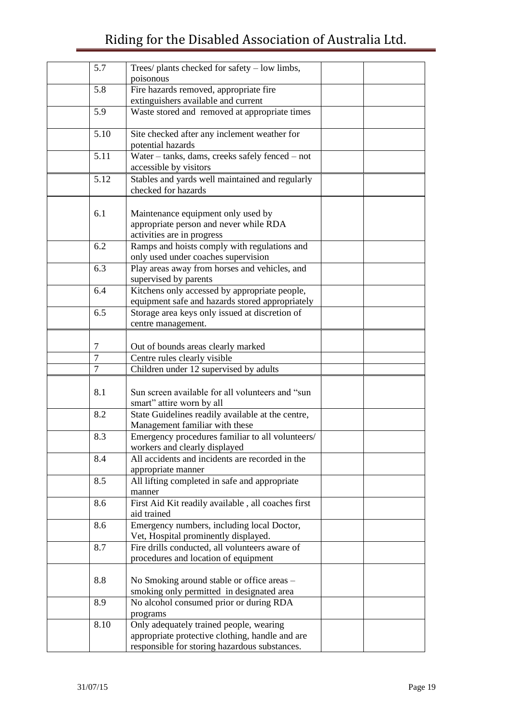## Riding for the Disabled Association of Australia Ltd.

| 5.7            | Trees/ plants checked for safety – low limbs,<br>poisonous                       |  |
|----------------|----------------------------------------------------------------------------------|--|
| 5.8            | Fire hazards removed, appropriate fire                                           |  |
|                | extinguishers available and current                                              |  |
| 5.9            | Waste stored and removed at appropriate times                                    |  |
| 5.10           | Site checked after any inclement weather for<br>potential hazards                |  |
| 5.11           | Water - tanks, dams, creeks safely fenced - not                                  |  |
|                | accessible by visitors                                                           |  |
| 5.12           | Stables and yards well maintained and regularly<br>checked for hazards           |  |
|                |                                                                                  |  |
| 6.1            | Maintenance equipment only used by                                               |  |
|                | appropriate person and never while RDA                                           |  |
|                | activities are in progress                                                       |  |
| 6.2            | Ramps and hoists comply with regulations and                                     |  |
|                | only used under coaches supervision                                              |  |
| 6.3            | Play areas away from horses and vehicles, and                                    |  |
|                | supervised by parents                                                            |  |
| 6.4            | Kitchens only accessed by appropriate people,                                    |  |
|                | equipment safe and hazards stored appropriately                                  |  |
| 6.5            | Storage area keys only issued at discretion of                                   |  |
|                | centre management.                                                               |  |
|                |                                                                                  |  |
| 7              | Out of bounds areas clearly marked                                               |  |
| $\overline{7}$ | Centre rules clearly visible                                                     |  |
| $\overline{7}$ | Children under 12 supervised by adults                                           |  |
|                |                                                                                  |  |
| 8.1            | Sun screen available for all volunteers and "sun                                 |  |
|                | smart" attire worn by all                                                        |  |
| 8.2            | State Guidelines readily available at the centre,                                |  |
|                | Management familiar with these                                                   |  |
| 8.3            |                                                                                  |  |
|                | Emergency procedures familiar to all volunteers/                                 |  |
| 8.4            | workers and clearly displayed<br>All accidents and incidents are recorded in the |  |
|                |                                                                                  |  |
|                | appropriate manner                                                               |  |
| 8.5            | All lifting completed in safe and appropriate<br>manner                          |  |
|                |                                                                                  |  |
| 8.6            | First Aid Kit readily available, all coaches first<br>aid trained                |  |
|                |                                                                                  |  |
| 8.6            | Emergency numbers, including local Doctor,                                       |  |
|                | Vet, Hospital prominently displayed.                                             |  |
| 8.7            | Fire drills conducted, all volunteers aware of                                   |  |
|                | procedures and location of equipment                                             |  |
|                |                                                                                  |  |
| 8.8            | No Smoking around stable or office areas –                                       |  |
|                | smoking only permitted in designated area                                        |  |
| 8.9            | No alcohol consumed prior or during RDA                                          |  |
|                | programs                                                                         |  |
| 8.10           | Only adequately trained people, wearing                                          |  |
|                | appropriate protective clothing, handle and are                                  |  |
|                | responsible for storing hazardous substances.                                    |  |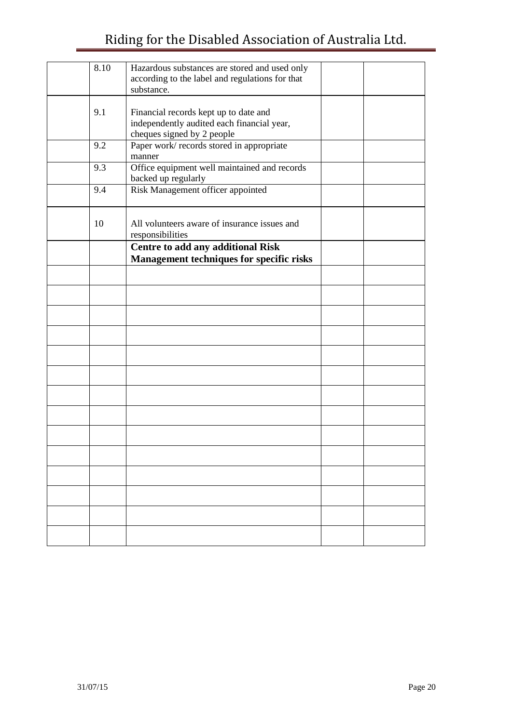## Riding for the Disabled Association of Australia Ltd.

| 8.10 | Hazardous substances are stored and used only<br>according to the label and regulations for that<br>substance.    |  |
|------|-------------------------------------------------------------------------------------------------------------------|--|
|      |                                                                                                                   |  |
| 9.1  | Financial records kept up to date and<br>independently audited each financial year,<br>cheques signed by 2 people |  |
| 9.2  | Paper work/records stored in appropriate<br>manner                                                                |  |
| 9.3  | Office equipment well maintained and records<br>backed up regularly                                               |  |
| 9.4  | Risk Management officer appointed                                                                                 |  |
| 10   | All volunteers aware of insurance issues and<br>responsibilities                                                  |  |
|      | Centre to add any additional Risk<br><b>Management techniques for specific risks</b>                              |  |
|      |                                                                                                                   |  |
|      |                                                                                                                   |  |
|      |                                                                                                                   |  |
|      |                                                                                                                   |  |
|      |                                                                                                                   |  |
|      |                                                                                                                   |  |
|      |                                                                                                                   |  |
|      |                                                                                                                   |  |
|      |                                                                                                                   |  |
|      |                                                                                                                   |  |
|      |                                                                                                                   |  |
|      |                                                                                                                   |  |
|      |                                                                                                                   |  |
|      |                                                                                                                   |  |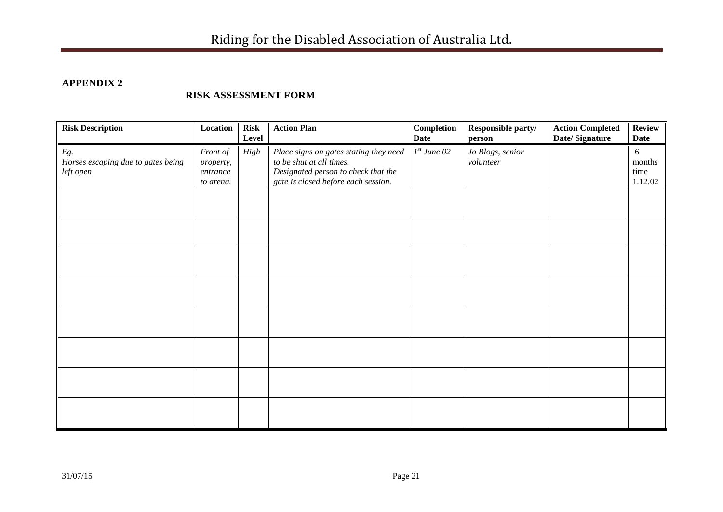## **APPENDIX 2**

#### **RISK ASSESSMENT FORM**

| <b>Risk Description</b>                                | Location                                       | <b>Risk</b><br>Level | <b>Action Plan</b>                                                                                                                               | Completion<br><b>Date</b> | Responsible party/<br>person  | <b>Action Completed</b><br>Date/Signature | <b>Review</b><br><b>Date</b>   |
|--------------------------------------------------------|------------------------------------------------|----------------------|--------------------------------------------------------------------------------------------------------------------------------------------------|---------------------------|-------------------------------|-------------------------------------------|--------------------------------|
| Eg.<br>Horses escaping due to gates being<br>left open | Front of<br>property,<br>entrance<br>to arena. | High                 | Place signs on gates stating they need<br>to be shut at all times.<br>Designated person to check that the<br>gate is closed before each session. | $Ist$ June 02             | Jo Blogs, senior<br>volunteer |                                           | 6<br>months<br>time<br>1.12.02 |
|                                                        |                                                |                      |                                                                                                                                                  |                           |                               |                                           |                                |
|                                                        |                                                |                      |                                                                                                                                                  |                           |                               |                                           |                                |
|                                                        |                                                |                      |                                                                                                                                                  |                           |                               |                                           |                                |
|                                                        |                                                |                      |                                                                                                                                                  |                           |                               |                                           |                                |
|                                                        |                                                |                      |                                                                                                                                                  |                           |                               |                                           |                                |
|                                                        |                                                |                      |                                                                                                                                                  |                           |                               |                                           |                                |
|                                                        |                                                |                      |                                                                                                                                                  |                           |                               |                                           |                                |
|                                                        |                                                |                      |                                                                                                                                                  |                           |                               |                                           |                                |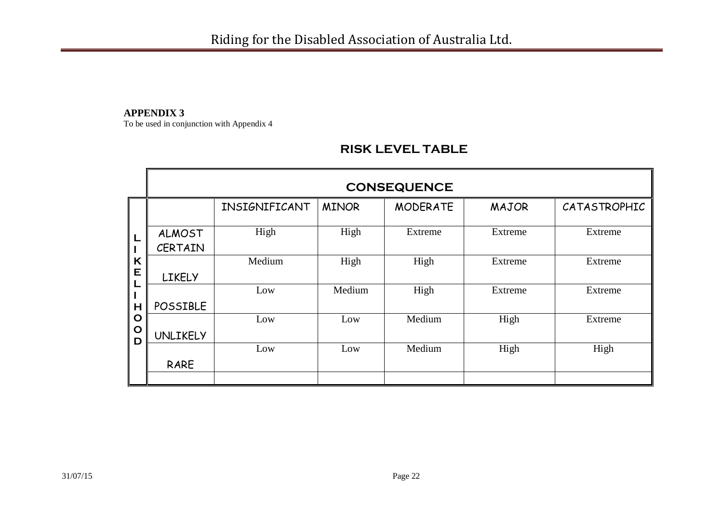#### **APPENDIX 3**

To be used in conjunction with Appendix 4

## **RISK LEVEL TABLE**

|                                 |                                 |               |              | <b>CONSEQUENCE</b> |              |              |
|---------------------------------|---------------------------------|---------------|--------------|--------------------|--------------|--------------|
|                                 |                                 | INSIGNIFICANT | <b>MINOR</b> | <b>MODERATE</b>    | <b>MAJOR</b> | CATASTROPHIC |
|                                 | <b>ALMOST</b><br><b>CERTAIN</b> | High          | High         | Extreme            | Extreme      | Extreme      |
| K<br>E                          | <b>LIKELY</b>                   | Medium        | High         | High               | Extreme      | Extreme      |
| L<br>H                          | <b>POSSIBLE</b>                 | Low           | Medium       | High               | Extreme      | Extreme      |
| $\mathbf O$<br>$\mathbf O$<br>D | <b>UNLIKELY</b>                 | Low           | Low          | Medium             | High         | Extreme      |
|                                 | RARE                            | Low           | Low          | Medium             | High         | High         |
|                                 |                                 |               |              |                    |              |              |